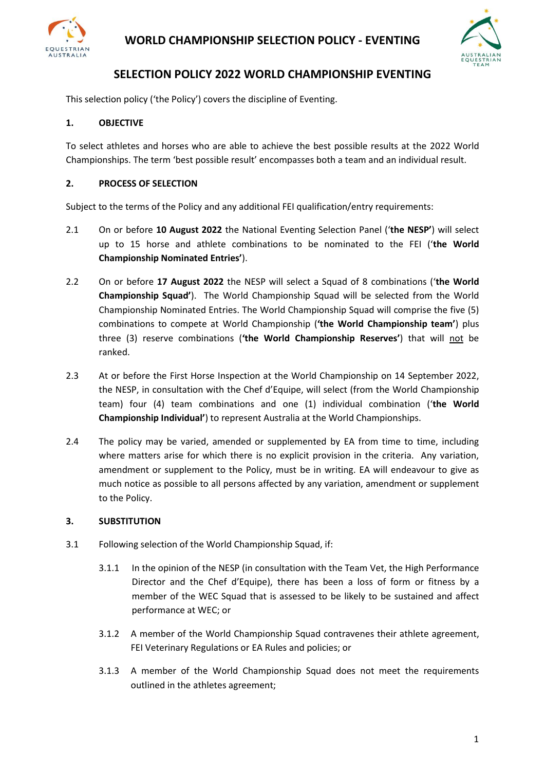



## **SELECTION POLICY 2022 WORLD CHAMPIONSHIP EVENTING**

This selection policy ('the Policy') covers the discipline of Eventing.

### **1. OBJECTIVE**

To select athletes and horses who are able to achieve the best possible results at the 2022 World Championships. The term 'best possible result' encompasses both a team and an individual result.

### **2. PROCESS OF SELECTION**

Subject to the terms of the Policy and any additional FEI qualification/entry requirements:

- 2.1 On or before **10 August 2022** the National Eventing Selection Panel ('**the NESP'**) will select up to 15 horse and athlete combinations to be nominated to the FEI ('**the World Championship Nominated Entries'**).
- 2.2 On or before **17 August 2022** the NESP will select a Squad of 8 combinations ('**the World Championship Squad'**). The World Championship Squad will be selected from the World Championship Nominated Entries. The World Championship Squad will comprise the five (5) combinations to compete at World Championship (**'the World Championship team'**) plus three (3) reserve combinations (**'the World Championship Reserves'**) that will not be ranked.
- 2.3 At or before the First Horse Inspection at the World Championship on 14 September 2022, the NESP, in consultation with the Chef d'Equipe, will select (from the World Championship team) four (4) team combinations and one (1) individual combination ('**the World Championship Individual'**) to represent Australia at the World Championships.
- 2.4 The policy may be varied, amended or supplemented by EA from time to time, including where matters arise for which there is no explicit provision in the criteria. Any variation, amendment or supplement to the Policy, must be in writing. EA will endeavour to give as much notice as possible to all persons affected by any variation, amendment or supplement to the Policy.

#### **3. SUBSTITUTION**

- 3.1 Following selection of the World Championship Squad, if:
	- 3.1.1 In the opinion of the NESP (in consultation with the Team Vet, the High Performance Director and the Chef d'Equipe), there has been a loss of form or fitness by a member of the WEC Squad that is assessed to be likely to be sustained and affect performance at WEC; or
	- 3.1.2 A member of the World Championship Squad contravenes their athlete agreement, FEI Veterinary Regulations or EA Rules and policies; or
	- 3.1.3 A member of the World Championship Squad does not meet the requirements outlined in the athletes agreement;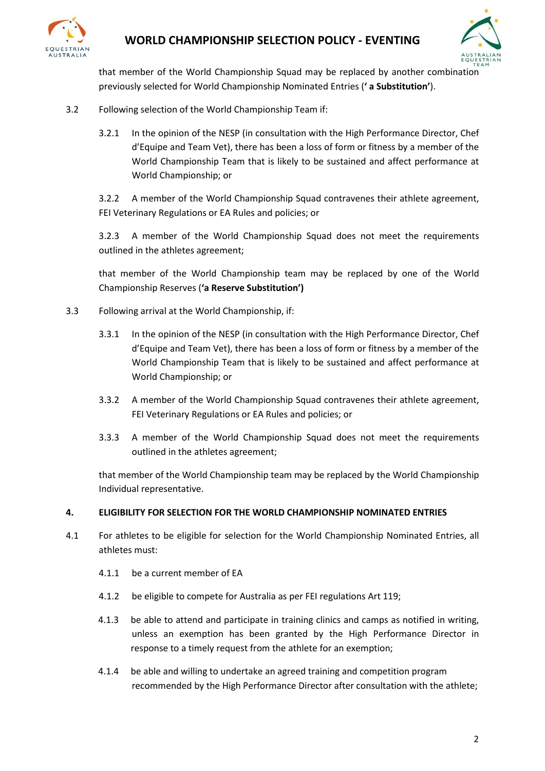

# **WORLD CHAMPIONSHIP SELECTION POLICY - EVENTING**



that member of the World Championship Squad may be replaced by another combination previously selected for World Championship Nominated Entries (**' a Substitution'**).

- 3.2 Following selection of the World Championship Team if:
	- 3.2.1 In the opinion of the NESP (in consultation with the High Performance Director, Chef d'Equipe and Team Vet), there has been a loss of form or fitness by a member of the World Championship Team that is likely to be sustained and affect performance at World Championship; or

3.2.2 A member of the World Championship Squad contravenes their athlete agreement, FEI Veterinary Regulations or EA Rules and policies; or

3.2.3 A member of the World Championship Squad does not meet the requirements outlined in the athletes agreement;

that member of the World Championship team may be replaced by one of the World Championship Reserves (**'a Reserve Substitution')**

- 3.3 Following arrival at the World Championship, if:
	- 3.3.1 In the opinion of the NESP (in consultation with the High Performance Director, Chef d'Equipe and Team Vet), there has been a loss of form or fitness by a member of the World Championship Team that is likely to be sustained and affect performance at World Championship; or
	- 3.3.2 A member of the World Championship Squad contravenes their athlete agreement, FEI Veterinary Regulations or EA Rules and policies; or
	- 3.3.3 A member of the World Championship Squad does not meet the requirements outlined in the athletes agreement;

that member of the World Championship team may be replaced by the World Championship Individual representative.

#### **4. ELIGIBILITY FOR SELECTION FOR THE WORLD CHAMPIONSHIP NOMINATED ENTRIES**

- 4.1 For athletes to be eligible for selection for the World Championship Nominated Entries, all athletes must:
	- 4.1.1 be a current member of EA
	- 4.1.2 be eligible to compete for Australia as per FEI regulations Art 119;
	- 4.1.3 be able to attend and participate in training clinics and camps as notified in writing, unless an exemption has been granted by the High Performance Director in response to a timely request from the athlete for an exemption;
	- 4.1.4 be able and willing to undertake an agreed training and competition program recommended by the High Performance Director after consultation with the athlete;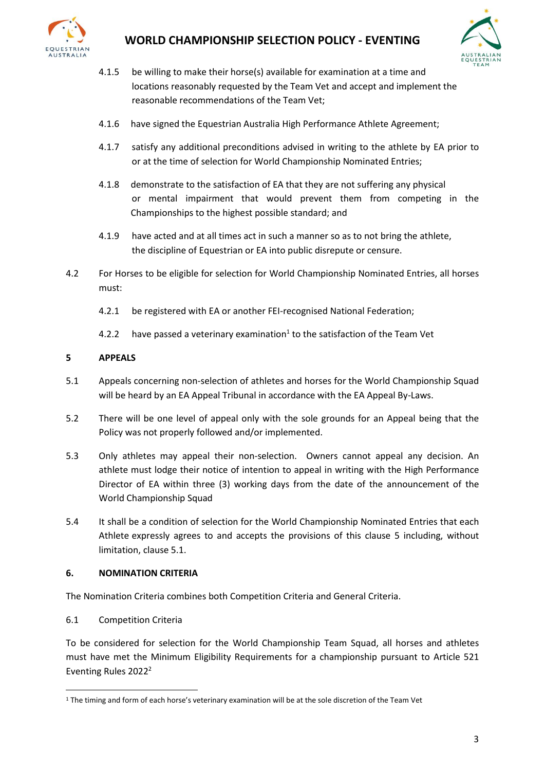

# **WORLD CHAMPIONSHIP SELECTION POLICY - EVENTING**



- 4.1.5 be willing to make their horse(s) available for examination at a time and locations reasonably requested by the Team Vet and accept and implement the reasonable recommendations of the Team Vet;
- 4.1.6 have signed the Equestrian Australia High Performance Athlete Agreement;
- 4.1.7 satisfy any additional preconditions advised in writing to the athlete by EA prior to or at the time of selection for World Championship Nominated Entries;
- 4.1.8 demonstrate to the satisfaction of EA that they are not suffering any physical or mental impairment that would prevent them from competing in the Championships to the highest possible standard; and
- 4.1.9 have acted and at all times act in such a manner so as to not bring the athlete, the discipline of Equestrian or EA into public disrepute or censure.
- 4.2 For Horses to be eligible for selection for World Championship Nominated Entries, all horses must:
	- 4.2.1 be registered with EA or another FEI-recognised National Federation;
	- 4.2.2 have passed a veterinary examination<sup>1</sup> to the satisfaction of the Team Vet

#### **5 APPEALS**

- 5.1 Appeals concerning non-selection of athletes and horses for the World Championship Squad will be heard by an EA Appeal Tribunal in accordance with the EA Appeal By-Laws.
- 5.2 There will be one level of appeal only with the sole grounds for an Appeal being that the Policy was not properly followed and/or implemented.
- 5.3 Only athletes may appeal their non-selection. Owners cannot appeal any decision. An athlete must lodge their notice of intention to appeal in writing with the High Performance Director of EA within three (3) working days from the date of the announcement of the World Championship Squad
- 5.4 It shall be a condition of selection for the World Championship Nominated Entries that each Athlete expressly agrees to and accepts the provisions of this clause 5 including, without limitation, clause 5.1.

#### **6. NOMINATION CRITERIA**

The Nomination Criteria combines both Competition Criteria and General Criteria.

6.1 Competition Criteria

To be considered for selection for the World Championship Team Squad, all horses and athletes must have met the Minimum Eligibility Requirements for a championship pursuant to Article 521 Eventing Rules 2022<sup>2</sup>

<sup>&</sup>lt;sup>1</sup> The timing and form of each horse's veterinary examination will be at the sole discretion of the Team Vet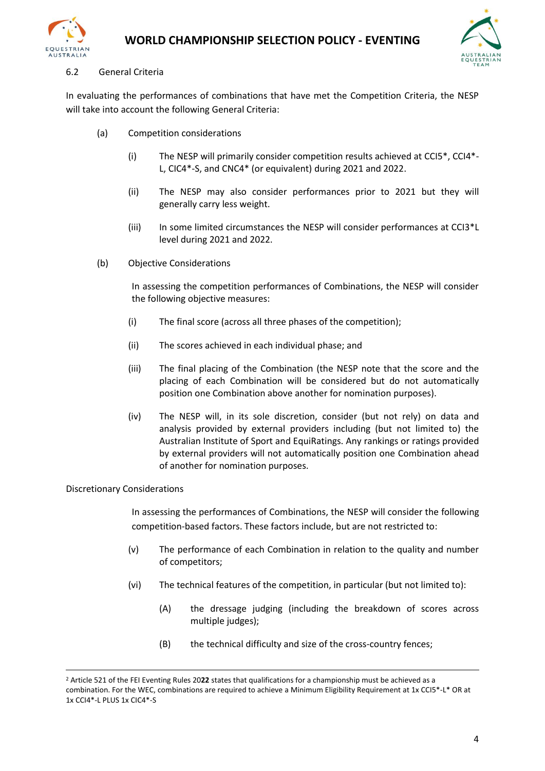



#### 6.2 General Criteria

In evaluating the performances of combinations that have met the Competition Criteria, the NESP will take into account the following General Criteria:

- (a) Competition considerations
	- (i) The NESP will primarily consider competition results achieved at CCI5\*, CCI4\*- L, CIC4\*-S, and CNC4\* (or equivalent) during 2021 and 2022.
	- (ii) The NESP may also consider performances prior to 2021 but they will generally carry less weight.
	- (iii) In some limited circumstances the NESP will consider performances at CCI3\*L level during 2021 and 2022.
- (b) Objective Considerations

In assessing the competition performances of Combinations, the NESP will consider the following objective measures:

- (i) The final score (across all three phases of the competition);
- (ii) The scores achieved in each individual phase; and
- (iii) The final placing of the Combination (the NESP note that the score and the placing of each Combination will be considered but do not automatically position one Combination above another for nomination purposes).
- (iv) The NESP will, in its sole discretion, consider (but not rely) on data and analysis provided by external providers including (but not limited to) the Australian Institute of Sport and EquiRatings. Any rankings or ratings provided by external providers will not automatically position one Combination ahead of another for nomination purposes.

#### Discretionary Considerations

In assessing the performances of Combinations, the NESP will consider the following competition-based factors. These factors include, but are not restricted to:

- (v) The performance of each Combination in relation to the quality and number of competitors;
- (vi) The technical features of the competition, in particular (but not limited to):
	- (A) the dressage judging (including the breakdown of scores across multiple judges);
	- (B) the technical difficulty and size of the cross-country fences;

<sup>2</sup> Article 521 of the FEI Eventing Rules 20**22** states that qualifications for a championship must be achieved as a combination. For the WEC, combinations are required to achieve a Minimum Eligibility Requirement at 1x CCI5\*-L\* OR at 1x CCI4\*-L PLUS 1x CIC4\*-S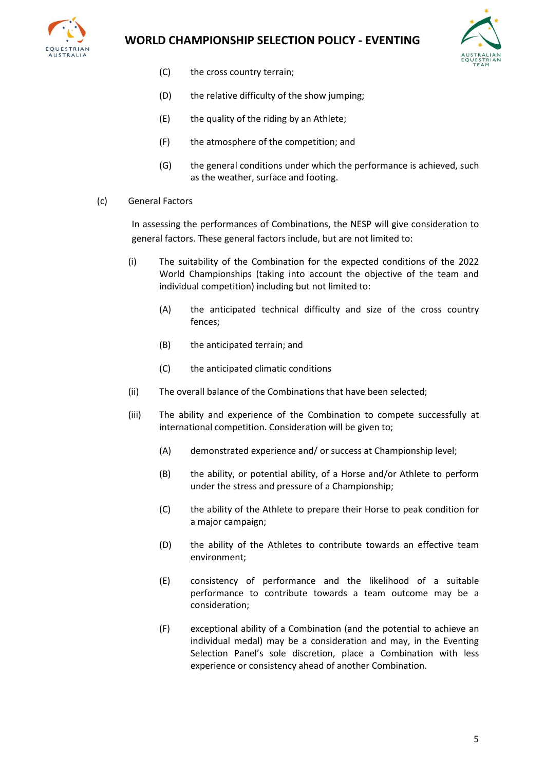

## **WORLD CHAMPIONSHIP SELECTION POLICY - EVENTING**



- (C) the cross country terrain;
- (D) the relative difficulty of the show jumping;
- (E) the quality of the riding by an Athlete;
- (F) the atmosphere of the competition; and
- (G) the general conditions under which the performance is achieved, such as the weather, surface and footing.
- (c) General Factors

In assessing the performances of Combinations, the NESP will give consideration to general factors. These general factors include, but are not limited to:

- (i) The suitability of the Combination for the expected conditions of the 2022 World Championships (taking into account the objective of the team and individual competition) including but not limited to:
	- (A) the anticipated technical difficulty and size of the cross country fences;
	- (B) the anticipated terrain; and
	- (C) the anticipated climatic conditions
- (ii) The overall balance of the Combinations that have been selected;
- (iii) The ability and experience of the Combination to compete successfully at international competition. Consideration will be given to;
	- (A) demonstrated experience and/ or success at Championship level;
	- (B) the ability, or potential ability, of a Horse and/or Athlete to perform under the stress and pressure of a Championship;
	- (C) the ability of the Athlete to prepare their Horse to peak condition for a major campaign;
	- (D) the ability of the Athletes to contribute towards an effective team environment;
	- (E) consistency of performance and the likelihood of a suitable performance to contribute towards a team outcome may be a consideration;
	- (F) exceptional ability of a Combination (and the potential to achieve an individual medal) may be a consideration and may, in the Eventing Selection Panel's sole discretion, place a Combination with less experience or consistency ahead of another Combination.